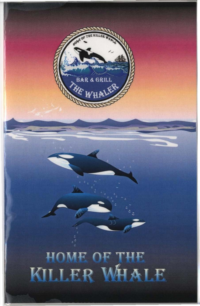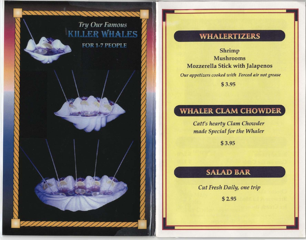# **Try Our Famous KILLER WHALES FOR 1-7 PEOPLE**

<u>AMANAN</u>

### **WHALERTIZERS**

Shrimp Mushrooms Mozzerella Stick with Jalapenos *Our appetizers cooked with Forced air not grease*  \$ 3.95

# **WHALER CLAM CHOWDER**

*Catt's hearty Clam Chowder made Special for the Whaler* 

\$ 3.95

# SALAD BAR

*Cut Fresh Daily, one trip* 

\$ 2.95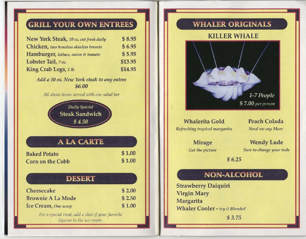# **GRILL YOUR OWN ENTREES**

| New York Steak, 10 oz. cut fresh daily | \$8.95  |
|----------------------------------------|---------|
| Chicken, two boneless skinless breasts | \$6.95  |
| Hamburger, lettuce, onion & tomato     | \$5.95  |
| Lobster Tail, 7 oz.                    | \$13.95 |
| King Crab Legs, 1 lb.                  | \$14.95 |

*Add a 10 oz. New York steak to any entree*  \$6.00

*All above items served with one salad bar* 

*Daily Special*  Steak Sandwich \$4.50

ALA CARTE

| <b>Baked Potato</b> | \$1.00 |
|---------------------|--------|
| Corn on the Cobb    | \$1.00 |

#### **DESERT**

| Cheesecake                                       | \$2.00 |
|--------------------------------------------------|--------|
| <b>Brownie A La Mode</b>                         | \$2.50 |
| Ice Cream, One scoop                             | \$1.00 |
| For a special treat, add a shot of your favorite |        |

liqueur to the ice cream.

# **WHALER ORIGINALS**

#### KILLER WHALE



#### Whalerita Gold *Refreshing tropical margarita*

Peach Colada *Need we say More* 

Mirage *Get the picture* 

Wendy Lude *Sure* to *change your tude* 

\$ 6.25

# **NON-ALCOHOL**

Strawberry Daiquiri Virgin Mary Margarita Whaler Cooler - *try it Blended* 

\$ 3.75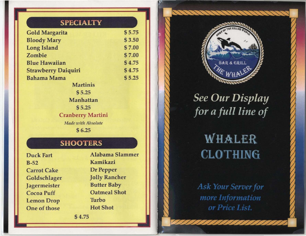#### **SPECIALTY**

| <b>Gold Margarita</b>      | \$5.75 |
|----------------------------|--------|
| <b>Bloody Mary</b>         | \$3.50 |
| <b>Long Island</b>         | \$7.00 |
| Zombie                     | \$7.00 |
| <b>Blue Hawaiian</b>       | \$4.75 |
| <b>Strawberry Daiquiri</b> | \$4.75 |
| <b>Bahama Mama</b>         | \$5.25 |
| <b>Martinis</b>            |        |
| \$5.25                     |        |
| <b>Manhattan</b>           |        |
| \$5.25                     |        |
| <b>Cranberry Martini</b>   |        |
| Made with Absolute         |        |
| \$6.25                     |        |

# **SHOOTERS**

Duck Fart B-52 Carrot Cake Goldschlager Jagermeister Cocoa Puff Lemon Drop One of those

Alabama Slammer Kamikazi Dr Pepper Jolly Rancher Butter Baby Oatmeal Shot Turbo **Hot Shot** 

\$ 4.75



**See Our Display** for a full line of

# WHALER **CLOTHING**

**Ask Your Server for** more Information or Price List.